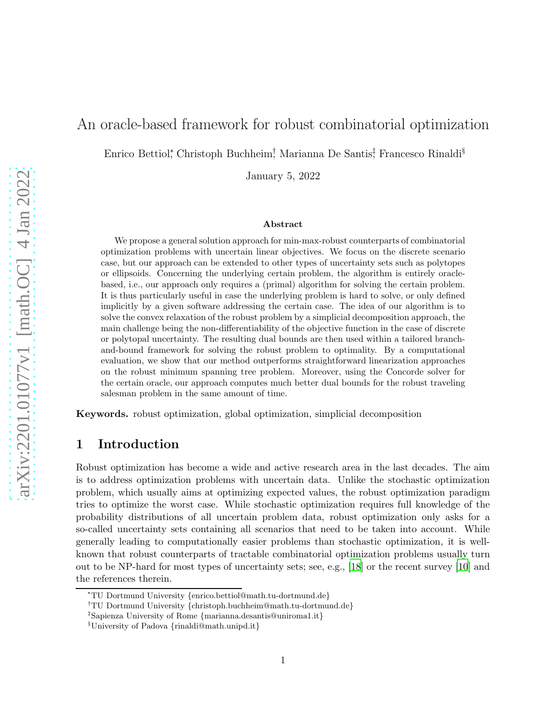# An oracle-based framework for robust combinatorial optimization

Enrico Bettiol<sup>∗</sup> , Christoph Buchheim† , Marianna De Santis‡ , Francesco Rinaldi§

January 5, 2022

#### Abstract

We propose a general solution approach for min-max-robust counterparts of combinatorial optimization problems with uncertain linear objectives. We focus on the discrete scenario case, but our approach can be extended to other types of uncertainty sets such as polytopes or ellipsoids. Concerning the underlying certain problem, the algorithm is entirely oraclebased, i.e., our approach only requires a (primal) algorithm for solving the certain problem. It is thus particularly useful in case the underlying problem is hard to solve, or only defined implicitly by a given software addressing the certain case. The idea of our algorithm is to solve the convex relaxation of the robust problem by a simplicial decomposition approach, the main challenge being the non-differentiability of the objective function in the case of discrete or polytopal uncertainty. The resulting dual bounds are then used within a tailored branchand-bound framework for solving the robust problem to optimality. By a computational evaluation, we show that our method outperforms straightforward linearization approaches on the robust minimum spanning tree problem. Moreover, using the Concorde solver for the certain oracle, our approach computes much better dual bounds for the robust traveling salesman problem in the same amount of time.

Keywords. robust optimization, global optimization, simplicial decomposition

## 1 Introduction

Robust optimization has become a wide and active research area in the last decades. The aim is to address optimization problems with uncertain data. Unlike the stochastic optimization problem, which usually aims at optimizing expected values, the robust optimization paradigm tries to optimize the worst case. While stochastic optimization requires full knowledge of the probability distributions of all uncertain problem data, robust optimization only asks for a so-called uncertainty sets containing all scenarios that need to be taken into account. While generally leading to computationally easier problems than stochastic optimization, it is wellknown that robust counterparts of tractable combinatorial optimization problems usually turn out to be NP-hard for most types of uncertainty sets; see, e.g., [\[18](#page-20-0)] or the recent survey [\[10](#page-19-0)] and the references therein.

<sup>∗</sup>TU Dortmund University {enrico.bettiol@math.tu-dortmund.de}

<sup>†</sup>TU Dortmund University {christoph.buchheim@math.tu-dortmund.de}

<sup>‡</sup> Sapienza University of Rome {marianna.desantis@uniroma1.it}

<sup>§</sup>University of Padova {rinaldi@math.unipd.it}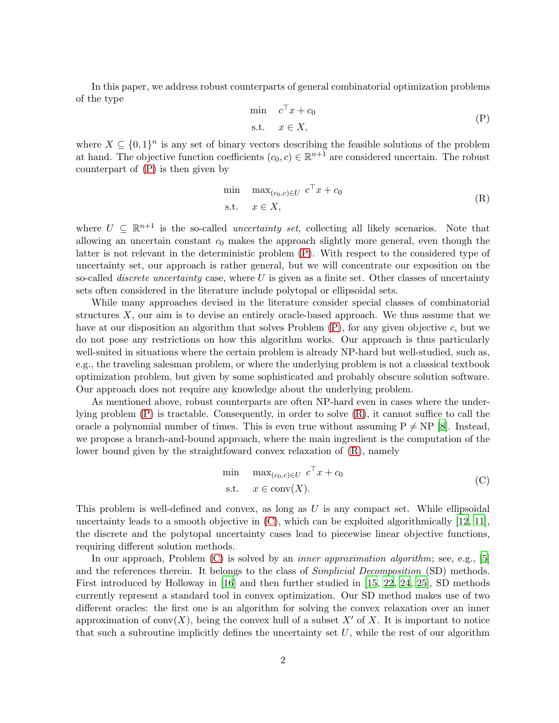In this paper, we address robust counterparts of general combinatorial optimization problems of the type

<span id="page-1-1"></span><span id="page-1-0"></span>
$$
\min \quad c^{\top} x + c_0
$$
  
s.t.  $x \in X$ , (P)

where  $X \subseteq \{0,1\}^n$  is any set of binary vectors describing the feasible solutions of the problem at hand. The objective function coefficients  $(c_0, c) \in \mathbb{R}^{n+1}$  are considered uncertain. The robust counterpart of [\(P\)](#page-1-0) is then given by

$$
\min \max_{(c_0, c) \in U} c^{\top} x + c_0
$$
\n
$$
\text{s.t.} \quad x \in X,\tag{R}
$$

where  $U \subseteq \mathbb{R}^{n+1}$  is the so-called *uncertainty set*, collecting all likely scenarios. Note that allowing an uncertain constant  $c_0$  makes the approach slightly more general, even though the latter is not relevant in the deterministic problem [\(P\)](#page-1-0). With respect to the considered type of uncertainty set, our approach is rather general, but we will concentrate our exposition on the so-called *discrete uncertainty* case, where  $U$  is given as a finite set. Other classes of uncertainty sets often considered in the literature include polytopal or ellipsoidal sets.

While many approaches devised in the literature consider special classes of combinatorial structures  $X$ , our aim is to devise an entirely oracle-based approach. We thus assume that we have at our disposition an algorithm that solves Problem  $(P)$ , for any given objective c, but we do not pose any restrictions on how this algorithm works. Our approach is thus particularly well-suited in situations where the certain problem is already NP-hard but well-studied, such as, e.g., the traveling salesman problem, or where the underlying problem is not a classical textbook optimization problem, but given by some sophisticated and probably obscure solution software. Our approach does not require any knowledge about the underlying problem.

As mentioned above, robust counterparts are often NP-hard even in cases where the underlying problem [\(P\)](#page-1-0) is tractable. Consequently, in order to solve [\(R\)](#page-1-1), it cannot suffice to call the oracle a polynomial number of times. This is even true without assuming  $P \neq NP$  [\[8\]](#page-19-1). Instead, we propose a branch-and-bound approach, where the main ingredient is the computation of the lower bound given by the straightfoward convex relaxation of [\(R\)](#page-1-1), namely

<span id="page-1-2"></span>
$$
\min \max_{(c_0, c) \in U} c^{\top} x + c_0
$$
\n
$$
\text{s.t.} \quad x \in \text{conv}(X). \tag{C}
$$

This problem is well-defined and convex, as long as  $U$  is any compact set. While ellipsoidal uncertainty leads to a smooth objective in  $(C)$ , which can be exploited algorithmically  $[12, 11]$  $[12, 11]$ , the discrete and the polytopal uncertainty cases lead to piecewise linear objective functions, requiring different solution methods.

In our approach, Problem  $(C)$  is solved by an *inner approximation algorithm*; see, e.g., [\[5\]](#page-19-2) and the references therein. It belongs to the class of *Simplicial Decomposition* (SD) methods. First introduced by Holloway in [\[16\]](#page-20-3) and then further studied in [\[15](#page-20-4), [22](#page-20-5), [24](#page-20-6), [25\]](#page-20-7), SD methods currently represent a standard tool in convex optimization. Our SD method makes use of two different oracles: the first one is an algorithm for solving the convex relaxation over an inner approximation of conv $(X)$ , being the convex hull of a subset X' of X. It is important to notice that such a subroutine implicitly defines the uncertainty set  $U$ , while the rest of our algorithm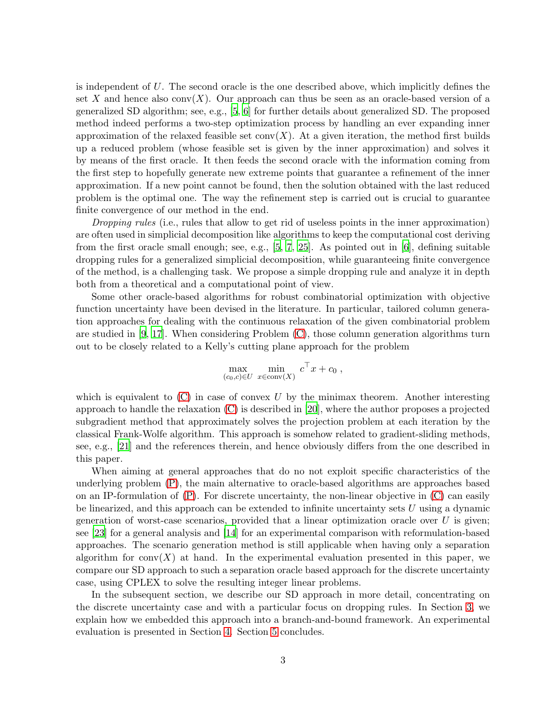is independent of  $U$ . The second oracle is the one described above, which implicitly defines the set X and hence also  $conv(X)$ . Our approach can thus be seen as an oracle-based version of a generalized SD algorithm; see, e.g., [\[5](#page-19-2), [6](#page-19-3)] for further details about generalized SD. The proposed method indeed performs a two-step optimization process by handling an ever expanding inner approximation of the relaxed feasible set  $conv(X)$ . At a given iteration, the method first builds up a reduced problem (whose feasible set is given by the inner approximation) and solves it by means of the first oracle. It then feeds the second oracle with the information coming from the first step to hopefully generate new extreme points that guarantee a refinement of the inner approximation. If a new point cannot be found, then the solution obtained with the last reduced problem is the optimal one. The way the refinement step is carried out is crucial to guarantee finite convergence of our method in the end.

Dropping rules (i.e., rules that allow to get rid of useless points in the inner approximation) are often used in simplicial decomposition like algorithms to keep the computational cost deriving from the first oracle small enough; see, e.g.,  $[5, 7, 25]$  $[5, 7, 25]$  $[5, 7, 25]$ . As pointed out in  $[6]$ , defining suitable dropping rules for a generalized simplicial decomposition, while guaranteeing finite convergence of the method, is a challenging task. We propose a simple dropping rule and analyze it in depth both from a theoretical and a computational point of view.

Some other oracle-based algorithms for robust combinatorial optimization with objective function uncertainty have been devised in the literature. In particular, tailored column generation approaches for dealing with the continuous relaxation of the given combinatorial problem are studied in [\[9](#page-19-5), [17](#page-20-8)]. When considering Problem [\(C\)](#page-1-2), those column generation algorithms turn out to be closely related to a Kelly's cutting plane approach for the problem

$$
\max_{(c_0,c)\in U} \min_{x\in \text{conv}(X)} c^{\top} x + c_0 ,
$$

which is equivalent to  $(C)$  in case of convex U by the minimax theorem. Another interesting approach to handle the relaxation [\(C\)](#page-1-2) is described in [\[20\]](#page-20-9), where the author proposes a projected subgradient method that approximately solves the projection problem at each iteration by the classical Frank-Wolfe algorithm. This approach is somehow related to gradient-sliding methods, see, e.g., [\[21\]](#page-20-10) and the references therein, and hence obviously differs from the one described in this paper.

When aiming at general approaches that do no not exploit specific characteristics of the underlying problem [\(P\)](#page-1-0), the main alternative to oracle-based algorithms are approaches based on an IP-formulation of [\(P\)](#page-1-0). For discrete uncertainty, the non-linear objective in [\(C\)](#page-1-2) can easily be linearized, and this approach can be extended to infinite uncertainty sets  $U$  using a dynamic generation of worst-case scenarios, provided that a linear optimization oracle over  $U$  is given; see [\[23](#page-20-11)] for a general analysis and [\[14](#page-20-12)] for an experimental comparison with reformulation-based approaches. The scenario generation method is still applicable when having only a separation algorithm for conv $(X)$  at hand. In the experimental evaluation presented in this paper, we compare our SD approach to such a separation oracle based approach for the discrete uncertainty case, using CPLEX to solve the resulting integer linear problems.

In the subsequent section, we describe our SD approach in more detail, concentrating on the discrete uncertainty case and with a particular focus on dropping rules. In Section [3,](#page-10-0) we explain how we embedded this approach into a branch-and-bound framework. An experimental evaluation is presented in Section [4.](#page-10-1) Section [5](#page-18-0) concludes.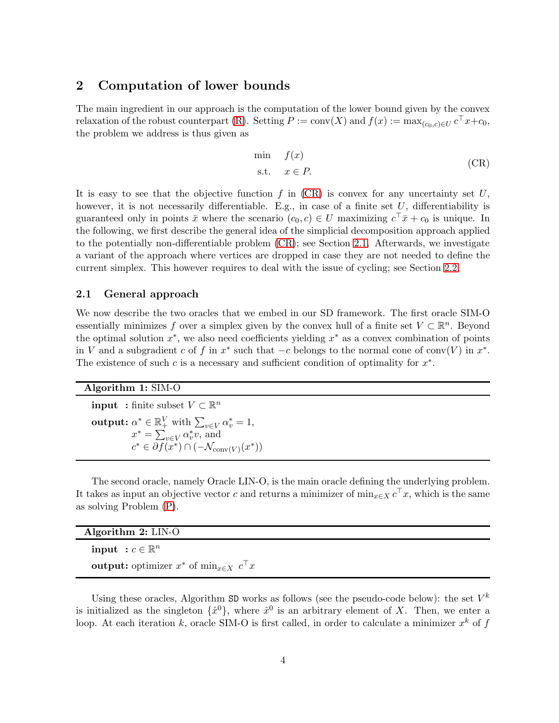### 2 Computation of lower bounds

The main ingredient in our approach is the computation of the lower bound given by the convex relaxation of the robust counterpart [\(R\)](#page-1-1). Setting  $P := \text{conv}(X)$  and  $f(x) := \max_{(c_0, c) \in U} c^{\top} x + c_0$ , the problem we address is thus given as

<span id="page-3-0"></span>
$$
\min_{\text{S.t.}} f(x) \tag{CR}
$$

It is easy to see that the objective function f in  $(CR)$  is convex for any uncertainty set U, however, it is not necessarily differentiable. E.g., in case of a finite set  $U$ , differentiability is guaranteed only in points  $\bar{x}$  where the scenario  $(c_0, c) \in U$  maximizing  $c^{\top} \bar{x} + c_0$  is unique. In the following, we first describe the general idea of the simplicial decomposition approach applied to the potentially non-differentiable problem [\(CR\)](#page-3-0); see Section [2.1.](#page-3-1) Afterwards, we investigate a variant of the approach where vertices are dropped in case they are not needed to define the current simplex. This however requires to deal with the issue of cycling; see Section [2.2.](#page-7-0)

### <span id="page-3-1"></span>2.1 General approach

We now describe the two oracles that we embed in our SD framework. The first oracle SIM-O essentially minimizes f over a simplex given by the convex hull of a finite set  $V \subset \mathbb{R}^n$ . Beyond the optimal solution  $x^*$ , we also need coefficients yielding  $x^*$  as a convex combination of points in V and a subgradient c of f in  $x^*$  such that  $-c$  belongs to the normal cone of conv(V) in  $x^*$ . The existence of such  $c$  is a necessary and sufficient condition of optimality for  $x^*$ .

#### Algorithm 1: SIM-O

**input** : finite subset  $V \subset \mathbb{R}^n$ **output:**  $\alpha^* \in \mathbb{R}_+^V$  with  $\sum_{v \in V} \alpha_v^* = 1$ ,  $x^* = \sum_{v \in V} \alpha_v^* v$ , and  $c^* \in \partial f(x^*) \cap (-\mathcal{N}_{\text{conv}(V)}(x^*))$ 

The second oracle, namely Oracle LIN-O, is the main oracle defining the underlying problem. It takes as input an objective vector c and returns a minimizer of  $\min_{x \in X} c^{\top}x$ , which is the same as solving Problem [\(P\)](#page-1-0).

| Algorithm $2:$ LIN-O                                                               |  |
|------------------------------------------------------------------------------------|--|
| input $c \in \mathbb{R}^n$                                                         |  |
| <b>output:</b> optimizer $x^*$ of min <sub><math>x \in X</math></sub> $c^{\perp}x$ |  |

Using these oracles, Algorithm SD works as follows (see the pseudo-code below): the set  $V^k$ is initialized as the singleton  $\{\hat{x}^0\}$ , where  $\hat{x}^0$  is an arbitrary element of X. Then, we enter a loop. At each iteration k, oracle SIM-O is first called, in order to calculate a minimizer  $x^k$  of  $f$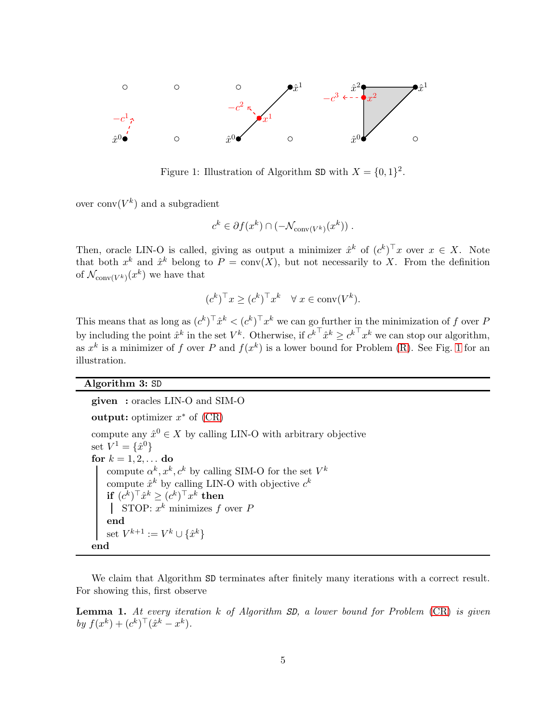<span id="page-4-0"></span>

Figure 1: Illustration of Algorithm SD with  $X = \{0, 1\}^2$ .

over  $\text{conv}(V^k)$  and a subgradient

$$
c^k \in \partial f(x^k) \cap (-\mathcal{N}_{\text{conv}(V^k)}(x^k)) \ .
$$

Then, oracle LIN-O is called, giving as output a minimizer  $\hat{x}^k$  of  $(c^k)^\top x$  over  $x \in X$ . Note that both  $x^k$  and  $\hat{x}^k$  belong to  $P = \text{conv}(X)$ , but not necessarily to X. From the definition of  $\mathcal{N}_{\text{conv}(V^k)}(x^k)$  we have that

$$
(c^k)^\top x \ge (c^k)^\top x^k \quad \forall \ x \in \text{conv}(V^k).
$$

This means that as long as  $(c^k)^\top \hat{x}^k < (c^k)^\top x^k$  we can go further in the minimization of f over P by including the point  $\hat{x}^k$  in the set  $V^k$ . Otherwise, if  $c^{k\top}\hat{x}^k \geq c^{k\top}x^k$  we can stop our algorithm, as  $x^k$  is a minimizer of f over P and  $f(x^k)$  is a lower bound for Problem [\(R\)](#page-1-1). See Fig. [1](#page-4-0) for an illustration.

### Algorithm 3: SD

given : oracles LIN-O and SIM-O output: optimizer  $x^*$  of  $(CR)$ compute any  $\hat{x}^0 \in X$  by calling LIN-O with arbitrary objective set  $V^{1} = \{\hat{x}^{0}\}$ for  $k = 1, 2, ...$  do compute  $\alpha^k, x^k, c^k$  by calling SIM-O for the set  $V^k$ compute  $\hat{x}^k$  by calling LIN-O with objective  $c^k$  $\mathbf{if}\; (c^k)^\top \hat{x}^k \geq (c^k)^\top x^k \;\mathbf{then}$ STOP:  $x^k$  minimizes f over F end set  $V^{k+1} := V^k \cup \{\hat{x}^k\}$ end

We claim that Algorithm SD terminates after finitely many iterations with a correct result. For showing this, first observe

<span id="page-4-1"></span>**Lemma 1.** At every iteration  $k$  of Algorithm  $SD$ , a lower bound for Problem  $(CR)$  is given by  $f(x^k) + (c^k)^\top (\hat{x}^k - x^k)$ .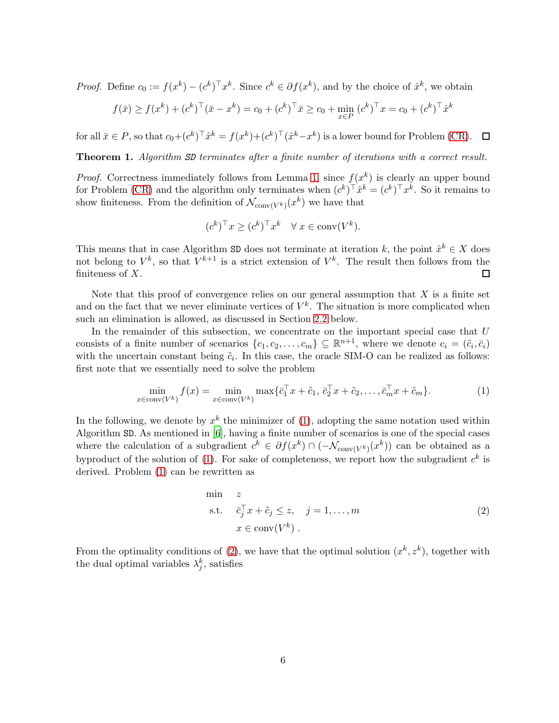*Proof.* Define  $c_0 := f(x^k) - (c^k)^\top x^k$ . Since  $c^k \in \partial f(x^k)$ , and by the choice of  $\hat{x}^k$ , we obtain

$$
f(\bar{x}) \ge f(x^k) + (c^k)^\top (\bar{x} - x^k) = c_0 + (c^k)^\top \bar{x} \ge c_0 + \min_{x \in P} (c^k)^\top x = c_0 + (c^k)^\top \hat{x}^k
$$

for all  $\bar{x} \in P$ , so that  $c_0 + (c^k)^\top \hat{x}^k = f(x^k) + (c^k)^\top (\hat{x}^k - x^k)$  is a lower bound for Problem [\(CR\)](#page-3-0).

Theorem 1. Algorithm SD terminates after a finite number of iterations with a correct result.

*Proof.* Correctness immediately follows from Lemma [1,](#page-4-1) since  $f(x^k)$  is clearly an upper bound for Problem [\(CR\)](#page-3-0) and the algorithm only terminates when  $(c^k)^\top \hat{x}^k = (c^k)^\top x^k$ . So it remains to show finiteness. From the definition of  $\mathcal{N}_{\text{conv}(V^k)}(x^k)$  we have that

$$
(c^k)^\top x \ge (c^k)^\top x^k \quad \forall \ x \in \text{conv}(V^k).
$$

This means that in case Algorithm SD does not terminate at iteration k, the point  $\hat{x}^k \in X$  does not belong to  $V^k$ , so that  $V^{k+1}$  is a strict extension of  $V^k$ . The result then follows from the finiteness of  $X$ .  $\Box$ 

Note that this proof of convergence relies on our general assumption that  $X$  is a finite set and on the fact that we never eliminate vertices of  $V^k$ . The situation is more complicated when such an elimination is allowed, as discussed in Section [2.2](#page-7-0) below.

In the remainder of this subsection, we concentrate on the important special case that  $U$ consists of a finite number of scenarios  $\{c_1, c_2, \ldots, c_m\} \subseteq \mathbb{R}^{n+1}$ , where we denote  $c_i = (\tilde{c}_i, \bar{c}_i)$ with the uncertain constant being  $\tilde{c}_i$ . In this case, the oracle SIM-O can be realized as follows: first note that we essentially need to solve the problem

<span id="page-5-0"></span>
$$
\min_{x \in \text{conv}(V^k)} f(x) = \min_{x \in \text{conv}(V^k)} \max \{ \bar{c}_1^\top x + \tilde{c}_1, \bar{c}_2^\top x + \tilde{c}_2, \dots, \bar{c}_m^\top x + \tilde{c}_m \}. \tag{1}
$$

In the following, we denote by  $x^k$  the minimizer of [\(1\)](#page-5-0), adopting the same notation used within Algorithm SD. As mentioned in [\[6](#page-19-3)], having a finite number of scenarios is one of the special cases where the calculation of a subgradient  $c^k \in \partial f(x^k) \cap (-\mathcal{N}_{\text{conv}(V^k)}(x^k))$  can be obtained as a by product of the solution of [\(1\)](#page-5-0). For sake of completeness, we report how the subgradient  $c^k$  is derived. Problem [\(1\)](#page-5-0) can be rewritten as

<span id="page-5-1"></span>
$$
\begin{array}{ll}\n\text{min} & z \\
\text{s.t.} & \bar{c}_j^\top x + \tilde{c}_j \le z, \quad j = 1, \dots, m \\
& x \in \text{conv}(V^k)\n\end{array} \tag{2}
$$

From the optimality conditions of [\(2\)](#page-5-1), we have that the optimal solution  $(x^k, z^k)$ , together with the dual optimal variables  $\lambda_j^k$ , satisfies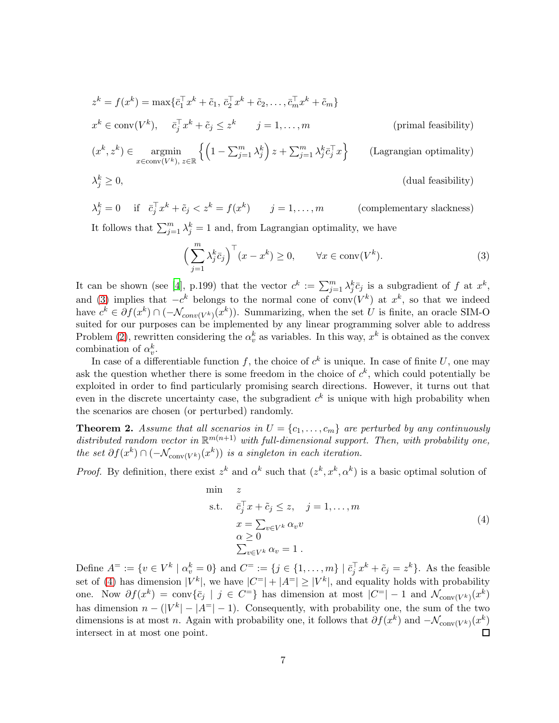$$
z^{k} = f(x^{k}) = \max\{\bar{c}_{1}^{\top}x^{k} + \tilde{c}_{1}, \bar{c}_{2}^{\top}x^{k} + \tilde{c}_{2}, \dots, \bar{c}_{m}^{\top}x^{k} + \tilde{c}_{m}\}\
$$
  
\n
$$
x^{k} \in \text{conv}(V^{k}), \quad \bar{c}_{j}^{\top}x^{k} + \tilde{c}_{j} \leq z^{k} \quad j = 1, \dots, m
$$
 (primal feasibility)  
\n
$$
(x^{k}, z^{k}) \in \operatorname*{argmin}_{x \in \text{conv}(V^{k}), z \in \mathbb{R}} \left\{ \left(1 - \sum_{j=1}^{m} \lambda_{j}^{k}\right) z + \sum_{j=1}^{m} \lambda_{j}^{k} \bar{c}_{j}^{\top} x \right\} \qquad \text{(Lagrangian optimality)}
$$

$$
\lambda_j^k \ge 0,
$$
 (dual feasibility)

$$
\lambda_j^k = 0 \quad \text{if} \quad \bar{c}_j^\top x^k + \tilde{c}_j < z^k = f(x^k) \qquad j = 1, \dots, m \qquad \text{(complementary slackness)}
$$

It follows that  $\sum_{j=1}^{m} \lambda_j^k = 1$  and, from Lagrangian optimality, we have

<span id="page-6-0"></span>
$$
\left(\sum_{j=1}^{m} \lambda_j^k \bar{c}_j\right)^\top (x - x^k) \ge 0, \qquad \forall x \in \text{conv}(V^k). \tag{3}
$$

It can be shown (see [\[4](#page-19-6)], p.199) that the vector  $c^k := \sum_{j=1}^m \lambda_j^k \bar{c}_j$  is a subgradient of f at  $x^k$ , and [\(3\)](#page-6-0) implies that  $-c^k$  belongs to the normal cone of conv $(V^k)$  at  $x^k$ , so that we indeed have  $c^k \in \partial f(x^k) \cap (-\mathcal{N}_{conv(V^k)}(x^k))$ . Summarizing, when the set U is finite, an oracle SIM-O suited for our purposes can be implemented by any linear programming solver able to address Problem [\(2\)](#page-5-1), rewritten considering the  $\alpha_v^k$  as variables. In this way,  $x^k$  is obtained as the convex combination of  $\alpha_v^k$ .

In case of a differentiable function f, the choice of  $c<sup>k</sup>$  is unique. In case of finite U, one may ask the question whether there is some freedom in the choice of  $c^k$ , which could potentially be exploited in order to find particularly promising search directions. However, it turns out that even in the discrete uncertainty case, the subgradient  $c<sup>k</sup>$  is unique with high probability when the scenarios are chosen (or perturbed) randomly.

<span id="page-6-2"></span>**Theorem 2.** Assume that all scenarios in  $U = \{c_1, \ldots, c_m\}$  are perturbed by any continuously distributed random vector in  $\mathbb{R}^{m(n+1)}$  with full-dimensional support. Then, with probability one, the set  $\partial f(x^k) \cap (-\mathcal{N}_{\text{conv}(V^k)}(x^k))$  is a singleton in each iteration.

*Proof.* By definition, there exist  $z^k$  and  $\alpha^k$  such that  $(z^k, x^k, \alpha^k)$  is a basic optimal solution of

<span id="page-6-1"></span>
$$
\begin{aligned}\n\min \quad & z \\
\text{s.t.} \quad & \bar{c}_j^\top x + \tilde{c}_j \le z, \quad j = 1, \dots, m \\
& x = \sum_{v \in V^k} \alpha_v v \\
& \alpha \ge 0 \\
& \sum_{v \in V^k} \alpha_v = 1 \,.\n\end{aligned} \tag{4}
$$

Define  $A^{\pm} := \{v \in V^k \mid \alpha_v^k = 0\}$  and  $C^{\pm} := \{j \in \{1, ..., m\} \mid \bar{c}_j^{\top} x^k + \tilde{c}_j = z^k\}$ . As the feasible set of [\(4\)](#page-6-1) has dimension  $|V^k|$ , we have  $|C^=|+|A^=|\geq |V^k|$ , and equality holds with probability one. Now  $\partial f(x^k) = \text{conv}\{\bar{c}_j \mid j \in C^=\}$  has dimension at most  $|C^=| - 1$  and  $\mathcal{N}_{\text{conv}(V^k)}(x^k)$ has dimension  $n - (|V^k| - |A^{\dagger}| - 1)$ . Consequently, with probability one, the sum of the two dimensions is at most *n*. Again with probability one, it follows that  $\partial f(x^k)$  and  $-\mathcal{N}_{\text{conv}(V^k)}(x^k)$  $\Box$ intersect in at most one point.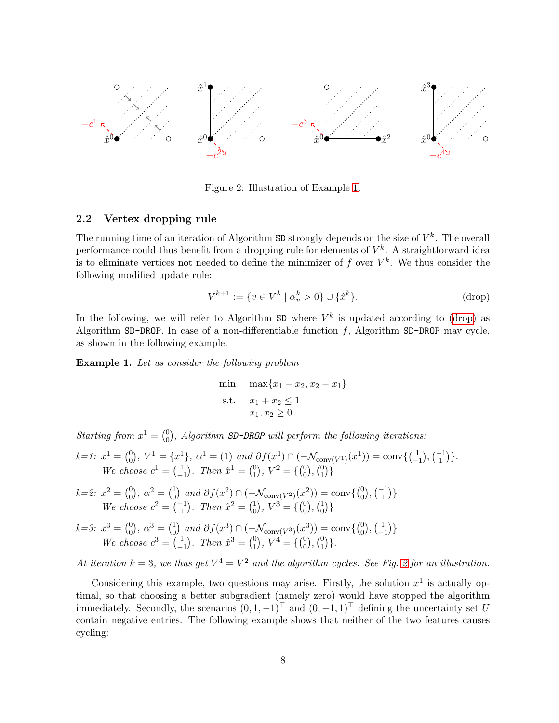<span id="page-7-3"></span>

Figure 2: Illustration of Example [1.](#page-7-1)

#### <span id="page-7-0"></span>2.2 Vertex dropping rule

The running time of an iteration of Algorithm  $SD$  strongly depends on the size of  $V^k$ . The overall performance could thus benefit from a dropping rule for elements of  $V^k$ . A straightforward idea is to eliminate vertices not needed to define the minimizer of  $f$  over  $V^k$ . We thus consider the following modified update rule:

<span id="page-7-2"></span>
$$
V^{k+1} := \{ v \in V^k \mid \alpha_v^k > 0 \} \cup \{ \hat{x}^k \}.
$$
 (drop)

In the following, we will refer to Algorithm SD where  $V^k$  is updated according to [\(drop\)](#page-7-2) as Algorithm SD-DROP. In case of a non-differentiable function  $f$ , Algorithm SD-DROP may cycle, as shown in the following example.

<span id="page-7-1"></span>Example 1. Let us consider the following problem

min 
$$
\max\{x_1 - x_2, x_2 - x_1\}
$$
  
s.t.  $x_1 + x_2 \le 1$   
 $x_1, x_2 \ge 0$ .

Starting from  $x^1 = \begin{pmatrix} 0 \\ 0 \end{pmatrix}$  $_{0}^{0}),$  Algorithm SD-DROP will perform the following iterations:

$$
k=1: x^1 = \begin{pmatrix} 0 \\ 0 \end{pmatrix}, V^1 = \{x^1\}, \alpha^1 = (1) \text{ and } \partial f(x^1) \cap (-\mathcal{N}_{\text{conv}(V^1)}(x^1)) = \text{conv}\{\begin{pmatrix} 1 \\ -1 \end{pmatrix}, \begin{pmatrix} -1 \\ 1 \end{pmatrix}\}.
$$
  
We choose  $c^1 = \begin{pmatrix} 1 \\ -1 \end{pmatrix}$ . Then  $\hat{x}^1 = \begin{pmatrix} 0 \\ 1 \end{pmatrix}, V^2 = \{\begin{pmatrix} 0 \\ 0 \end{pmatrix}, \begin{pmatrix} 0 \\ 1 \end{pmatrix}\}$ 

- $k=2$ :  $x^2 = \begin{pmatrix} 0 \\ 0 \end{pmatrix}$  $\binom{0}{0}$ ,  $\alpha^2 = \binom{1}{0}$  $_{0}^{1}$  and  $\partial f(x^{2}) \cap (-\mathcal{N}_{\text{conv}(V^{2})}(x^{2})) = \text{conv}\{(0, 0)\}$  $\binom{0}{0}, \binom{-1}{1}$ . We choose  $c^2 = \begin{pmatrix} -1 \\ 1 \end{pmatrix}$ . Then  $\hat{x}^2 = \begin{pmatrix} 1 \\ 0 \end{pmatrix}$  $\binom{1}{0}$ ,  $V^3 = \binom{0}{0}$  $_{0}^{0}),(\ _{0}^{1}$  $_{0}^{1})\}$
- $k=3$ :  $x^3 = \begin{pmatrix} 0 \\ 0 \end{pmatrix}$  $\binom{0}{0}$ ,  $\alpha^3 = \binom{1}{0}$  $_{0}^{1}$ ) and  $\partial f(x^{3}) \cap (-\mathcal{N}_{\text{conv}(V^{3})}(x^{3})) = \text{conv}\{ {0 \choose 0}$  $\binom{0}{0}, \left( \frac{1}{-} \right)$  $\begin{pmatrix} 1 \\ -1 \end{pmatrix}$ . We choose  $c^3 = \begin{pmatrix} 1 \\ -1 \end{pmatrix}$  $\binom{1}{-1}$ . Then  $\hat{x}^3 = \binom{0}{1}$  $_{1}^{0}), V^{4} = \left\{ \binom{0}{0} \right\}$  $\binom{0}{0}$ ,  $\binom{0}{1}$  $_{1}^{0})\}.$

At iteration  $k = 3$ , we thus get  $V^4 = V^2$  and the algorithm cycles. See Fig. [2](#page-7-3) for an illustration.

Considering this example, two questions may arise. Firstly, the solution  $x^1$  is actually optimal, so that choosing a better subgradient (namely zero) would have stopped the algorithm immediately. Secondly, the scenarios  $(0, 1, -1)^\top$  and  $(0, -1, 1)^\top$  defining the uncertainty set U contain negative entries. The following example shows that neither of the two features causes cycling: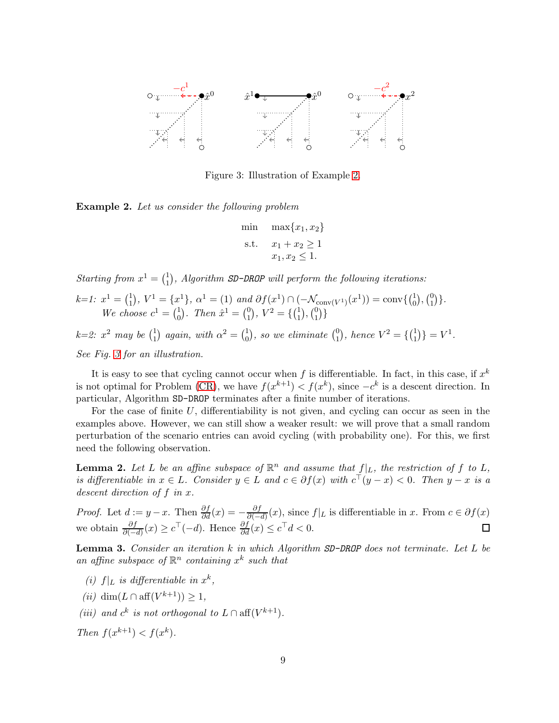<span id="page-8-1"></span>

Figure 3: Illustration of Example [2.](#page-8-0)

<span id="page-8-0"></span>**Example 2.** Let us consider the following problem

min 
$$
\max\{x_1, x_2\}
$$
  
s.t.  $x_1 + x_2 \ge 1$   
 $x_1, x_2 \le 1$ .

Starting from  $x^1 = \begin{pmatrix} 1 \\ 1 \end{pmatrix}$  $_1^1$ , Algorithm SD-DROP will perform the following iterations:

$$
k=1: x^1 = \begin{pmatrix} 1 \\ 1 \end{pmatrix}, V^1 = \{x^1\}, \alpha^1 = (1) \text{ and } \partial f(x^1) \cap (-\mathcal{N}_{\text{conv}(V^1)}(x^1)) = \text{conv}\{\begin{pmatrix} 1 \\ 0 \end{pmatrix}, \begin{pmatrix} 0 \\ 1 \end{pmatrix}\}.
$$
  
We choose  $c^1 = \begin{pmatrix} 1 \\ 0 \end{pmatrix}$ . Then  $\hat{x}^1 = \begin{pmatrix} 0 \\ 1 \end{pmatrix}, V^2 = \{\begin{pmatrix} 1 \\ 1 \end{pmatrix}, \begin{pmatrix} 0 \\ 1 \end{pmatrix}\}$ 

 $k=2: x^2$  may be  $\binom{1}{1}$  $_1^1$  again, with  $\alpha^2 = \begin{pmatrix} 1 \\ 0 \end{pmatrix}$  $\binom{1}{0}$ , so we eliminate  $\binom{0}{1}$  $_{1}^{0}$ , hence  $V^{2} = \{\begin{pmatrix} 1 \\ 1 \end{pmatrix}$  $_{1}^{1})\} = V^{1}.$ See Fig. [3](#page-8-1) for an illustration.

It is easy to see that cycling cannot occur when f is differentiable. In fact, in this case, if  $x^k$ is not optimal for Problem [\(CR\)](#page-3-0), we have  $f(x^{k+1}) < f(x^k)$ , since  $-c^k$  is a descent direction. In particular, Algorithm SD-DROP terminates after a finite number of iterations.

For the case of finite  $U$ , differentiability is not given, and cycling can occur as seen in the examples above. However, we can still show a weaker result: we will prove that a small random perturbation of the scenario entries can avoid cycling (with probability one). For this, we first need the following observation.

<span id="page-8-2"></span>**Lemma 2.** Let L be an affine subspace of  $\mathbb{R}^n$  and assume that  $f|_L$ , the restriction of f to L, is differentiable in  $x \in L$ . Consider  $y \in L$  and  $c \in \partial f(x)$  with  $c^{\top}(y-x) < 0$ . Then  $y-x$  is a descent direction of f in x.

*Proof.* Let  $d := y - x$ . Then  $\frac{\partial f}{\partial d}(x) = -\frac{\partial f}{\partial (-x)}$  $\frac{\partial f}{\partial (-d)}(x)$ , since  $f|_L$  is differentiable in x. From  $c \in \partial f(x)$ we obtain  $\frac{\partial f}{\partial (-d)}(x) \geq c^{\top}(-d)$ . Hence  $\frac{\partial f}{\partial d}(x) \leq c^{\top}d < 0$ .  $\Box$ 

<span id="page-8-3"></span>**Lemma 3.** Consider an iteration  $k$  in which Algorithm  $SD$ -DROP does not terminate. Let  $L$  be an affine subspace of  $\mathbb{R}^n$  containing  $x^k$  such that

- (i)  $f|_L$  is differentiable in  $x^k$ ,
- (*ii*) dim( $L \cap aff(V^{k+1}) \geq 1$ ,
- (iii) and  $c^k$  is not orthogonal to  $L \cap aff(V^{k+1})$ .

Then  $f(x^{k+1}) < f(x^k)$ .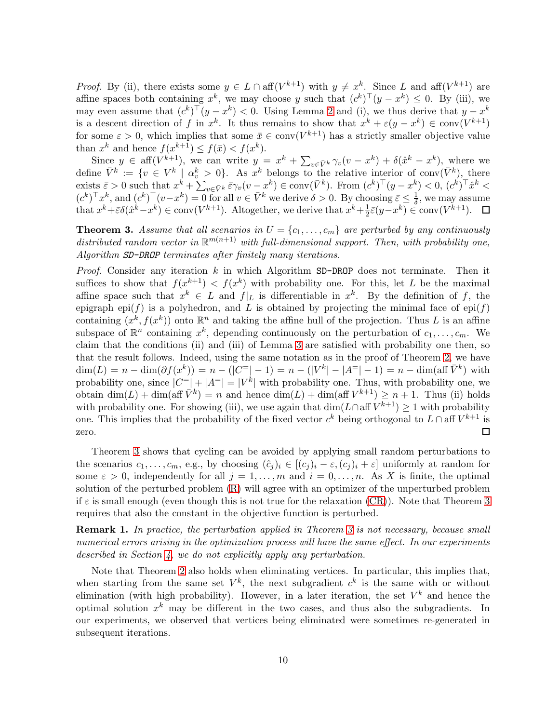*Proof.* By (ii), there exists some  $y \in L \cap aff(V^{k+1})$  with  $y \neq x^k$ . Since L and aff $(V^{k+1})$  are affine spaces both containing  $x^k$ , we may choose y such that  $(c^k)^\top (y - x^k) \leq 0$ . By (iii), we may even assume that  $(c^k)^\top (y - x^k) < 0$ . Using Lemma [2](#page-8-2) and (i), we thus derive that  $y - x^k$ is a descent direction of f in  $x^k$ . It thus remains to show that  $x^k + \varepsilon (y - x^k) \in \text{conv}(V^{k+1})$ for some  $\varepsilon > 0$ , which implies that some  $\bar{x} \in \text{conv}(V^{k+1})$  has a strictly smaller objective value than  $x^k$  and hence  $f(x^{k+1}) \leq f(\bar{x}) < f(x^k)$ .

Since  $y \in \text{aff}(V^{k+1})$ , we can write  $y = x^k + \sum_{v \in \bar{V}^k} \gamma_v(v - x^k) + \delta(\hat{x}^k - x^k)$ , where we define  $\bar{V}^k := \{v \in V^k \mid \alpha_v^k > 0\}$ . As  $x^k$  belongs to the relative interior of conv $(\bar{V}^k)$ , there exists  $\bar{\varepsilon} > 0$  such that  $x^k + \sum_{v \in \bar{V}^k} \bar{\varepsilon} \gamma_v (v - x^k) \in \text{conv}(\bar{V}^k)$ . From  $(c^k)^\top (y - x^k) < 0$ ,  $(c^k)^\top \hat{x}^k <$  $(c^k)^\top x^k$ , and  $(c^k)^\top (v-x^k) = 0$  for all  $v \in \overline{V}^k$  we derive  $\delta > 0$ . By choosing  $\overline{\varepsilon} \leq \frac{1}{\delta}$ , we may assume that  $x^k + \bar{\varepsilon} \delta(\hat{x}^k - x^k) \in \text{conv}(V^{k+1})$ . Altogether, we derive that  $x^k + \frac{1}{2}$  $\frac{1}{2}\bar{\varepsilon}(y-x^k) \in \text{conv}(V^{k+1}).$ 

<span id="page-9-0"></span>**Theorem 3.** Assume that all scenarios in  $U = \{c_1, \ldots, c_m\}$  are perturbed by any continuously distributed random vector in  $\mathbb{R}^{m(n+1)}$  with full-dimensional support. Then, with probability one, Algorithm SD-DROP terminates after finitely many iterations.

*Proof.* Consider any iteration  $k$  in which Algorithm SD-DROP does not terminate. Then it suffices to show that  $f(x^{k+1}) < f(x^k)$  with probability one. For this, let L be the maximal affine space such that  $x^k \in L$  and  $f|_L$  is differentiable in  $x^k$ . By the definition of f, the epigraph epi(f) is a polyhedron, and L is obtained by projecting the minimal face of  $epi(f)$ containing  $(x^k, f(x^k))$  onto  $\mathbb{R}^n$  and taking the affine hull of the projection. Thus L is an affine subspace of  $\mathbb{R}^n$  containing  $x^k$ , depending continuously on the perturbation of  $c_1, \ldots, c_m$ . We claim that the conditions (ii) and (iii) of Lemma [3](#page-8-3) are satisfied with probability one then, so that the result follows. Indeed, using the same notation as in the proof of Theorem [2,](#page-6-2) we have  $\dim(L) = n - \dim(\partial f(x^k)) = n - (|C^{-}|-1) = n - (|V^k| - |A^{-}|-1) = n - \dim(\text{aff }\bar{V}^k)$  with probability one, since  $|C^=|+|A^=|=|V^k|$  with probability one. Thus, with probability one, we obtain  $\dim(L) + \dim(\text{aff }\bar{V}^k) = n$  and hence  $\dim(L) + \dim(\text{aff }V^{k+1}) \geq n+1$ . Thus (ii) holds with probability one. For showing (iii), we use again that  $\dim(L \cap \text{aff } V^{k+1}) \geq 1$  with probability one. This implies that the probability of the fixed vector  $c^k$  being orthogonal to  $L \cap \text{aff } V^{k+1}$  is zero. □

Theorem [3](#page-9-0) shows that cycling can be avoided by applying small random perturbations to the scenarios  $c_1, \ldots, c_m$ , e.g., by choosing  $(\hat{c}_i)_i \in [(c_i)_i - \varepsilon, (c_i)_i + \varepsilon]$  uniformly at random for some  $\varepsilon > 0$ , independently for all  $j = 1, \ldots, m$  and  $i = 0, \ldots, n$ . As X is finite, the optimal solution of the perturbed problem [\(R\)](#page-1-1) will agree with an optimizer of the unperturbed problem if  $\varepsilon$  is small enough (even though this is not true for the relaxation [\(CR\)](#page-3-0)). Note that Theorem [3](#page-9-0) requires that also the constant in the objective function is perturbed.

**Remark 1.** In practice, the perturbation applied in Theorem [3](#page-9-0) is not necessary, because small numerical errors arising in the optimization process will have the same effect. In our experiments described in Section [4,](#page-10-1) we do not explicitly apply any perturbation.

Note that Theorem [2](#page-6-2) also holds when eliminating vertices. In particular, this implies that, when starting from the same set  $V^k$ , the next subgradient  $c^k$  is the same with or without elimination (with high probability). However, in a later iteration, the set  $V^k$  and hence the optimal solution  $x^k$  may be different in the two cases, and thus also the subgradients. In our experiments, we observed that vertices being eliminated were sometimes re-generated in subsequent iterations.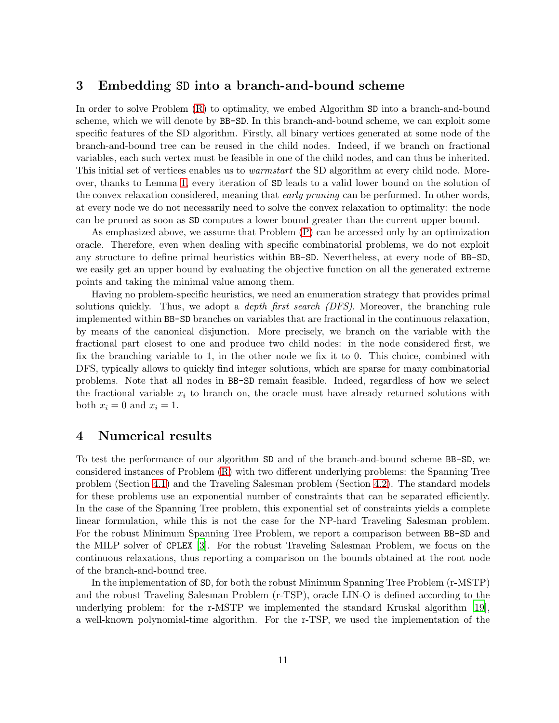### <span id="page-10-0"></span>3 Embedding SD into a branch-and-bound scheme

In order to solve Problem [\(R\)](#page-1-1) to optimality, we embed Algorithm SD into a branch-and-bound scheme, which we will denote by BB-SD. In this branch-and-bound scheme, we can exploit some specific features of the SD algorithm. Firstly, all binary vertices generated at some node of the branch-and-bound tree can be reused in the child nodes. Indeed, if we branch on fractional variables, each such vertex must be feasible in one of the child nodes, and can thus be inherited. This initial set of vertices enables us to *warmstart* the SD algorithm at every child node. Moreover, thanks to Lemma [1,](#page-4-1) every iteration of SD leads to a valid lower bound on the solution of the convex relaxation considered, meaning that *early pruning* can be performed. In other words, at every node we do not necessarily need to solve the convex relaxation to optimality: the node can be pruned as soon as SD computes a lower bound greater than the current upper bound.

As emphasized above, we assume that Problem [\(P\)](#page-1-0) can be accessed only by an optimization oracle. Therefore, even when dealing with specific combinatorial problems, we do not exploit any structure to define primal heuristics within BB-SD. Nevertheless, at every node of BB-SD, we easily get an upper bound by evaluating the objective function on all the generated extreme points and taking the minimal value among them.

Having no problem-specific heuristics, we need an enumeration strategy that provides primal solutions quickly. Thus, we adopt a *depth first search*  $(DFS)$ . Moreover, the branching rule implemented within BB-SD branches on variables that are fractional in the continuous relaxation, by means of the canonical disjunction. More precisely, we branch on the variable with the fractional part closest to one and produce two child nodes: in the node considered first, we fix the branching variable to 1, in the other node we fix it to 0. This choice, combined with DFS, typically allows to quickly find integer solutions, which are sparse for many combinatorial problems. Note that all nodes in BB-SD remain feasible. Indeed, regardless of how we select the fractional variable  $x_i$  to branch on, the oracle must have already returned solutions with both  $x_i = 0$  and  $x_i = 1$ .

### <span id="page-10-1"></span>4 Numerical results

To test the performance of our algorithm SD and of the branch-and-bound scheme BB-SD, we considered instances of Problem [\(R\)](#page-1-1) with two different underlying problems: the Spanning Tree problem (Section [4.1\)](#page-11-0) and the Traveling Salesman problem (Section [4.2\)](#page-15-0). The standard models for these problems use an exponential number of constraints that can be separated efficiently. In the case of the Spanning Tree problem, this exponential set of constraints yields a complete linear formulation, while this is not the case for the NP-hard Traveling Salesman problem. For the robust Minimum Spanning Tree Problem, we report a comparison between BB-SD and the MILP solver of CPLEX [\[3](#page-19-7)]. For the robust Traveling Salesman Problem, we focus on the continuous relaxations, thus reporting a comparison on the bounds obtained at the root node of the branch-and-bound tree.

In the implementation of SD, for both the robust Minimum Spanning Tree Problem (r-MSTP) and the robust Traveling Salesman Problem (r-TSP), oracle LIN-O is defined according to the underlying problem: for the r-MSTP we implemented the standard Kruskal algorithm [\[19\]](#page-20-13), a well-known polynomial-time algorithm. For the r-TSP, we used the implementation of the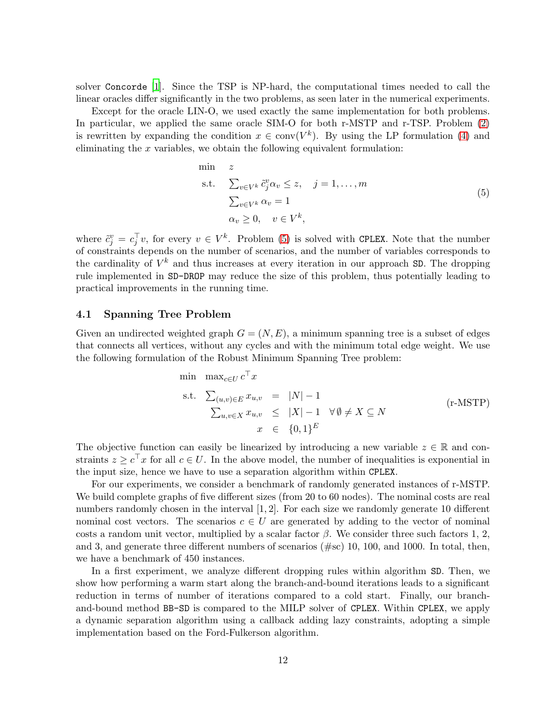solver Concorde [\[1](#page-19-8)]. Since the TSP is NP-hard, the computational times needed to call the linear oracles differ significantly in the two problems, as seen later in the numerical experiments.

Except for the oracle LIN-O, we used exactly the same implementation for both problems. In particular, we applied the same oracle SIM-O for both r-MSTP and r-TSP. Problem [\(2\)](#page-5-1) is rewritten by expanding the condition  $x \in \text{conv}(V^k)$ . By using the LP formulation [\(4\)](#page-6-1) and eliminating the  $x$  variables, we obtain the following equivalent formulation:

<span id="page-11-1"></span>
$$
\begin{aligned}\n\min \quad & z \\
\text{s.t.} \quad & \sum_{v \in V^k} \tilde{c}_j^v \alpha_v \le z, \quad j = 1, \dots, m \\
& \sum_{v \in V^k} \alpha_v = 1 \\
& \alpha_v \ge 0, \quad v \in V^k,\n\end{aligned}\n\tag{5}
$$

where  $\tilde{c}_j^v = c_j^{\top}v$ , for every  $v \in V^k$ . Problem [\(5\)](#page-11-1) is solved with CPLEX. Note that the number of constraints depends on the number of scenarios, and the number of variables corresponds to the cardinality of  $V^k$  and thus increases at every iteration in our approach SD. The dropping rule implemented in SD-DROP may reduce the size of this problem, thus potentially leading to practical improvements in the running time.

### <span id="page-11-0"></span>4.1 Spanning Tree Problem

Given an undirected weighted graph  $G = (N, E)$ , a minimum spanning tree is a subset of edges that connects all vertices, without any cycles and with the minimum total edge weight. We use the following formulation of the Robust Minimum Spanning Tree problem:

min max<sub>c\in U</sub> 
$$
c^{\top}x
$$
  
\ns.t.  $\sum_{(u,v)\in E} x_{u,v} = |N|-1$   
\n $\sum_{u,v\in X} x_{u,v} \le |X|-1 \quad \forall \emptyset \ne X \subseteq N$   
\n $x \in \{0,1\}^E$  (r-MSTP)

The objective function can easily be linearized by introducing a new variable  $z \in \mathbb{R}$  and constraints  $z \geq c^{\top}x$  for all  $c \in U$ . In the above model, the number of inequalities is exponential in the input size, hence we have to use a separation algorithm within CPLEX.

For our experiments, we consider a benchmark of randomly generated instances of r-MSTP. We build complete graphs of five different sizes (from 20 to 60 nodes). The nominal costs are real numbers randomly chosen in the interval [1, 2]. For each size we randomly generate 10 different nominal cost vectors. The scenarios  $c \in U$  are generated by adding to the vector of nominal costs a random unit vector, multiplied by a scalar factor  $\beta$ . We consider three such factors 1, 2, and 3, and generate three different numbers of scenarios  $(\text{\#sc})$  10, 100, and 1000. In total, then, we have a benchmark of 450 instances.

In a first experiment, we analyze different dropping rules within algorithm SD. Then, we show how performing a warm start along the branch-and-bound iterations leads to a significant reduction in terms of number of iterations compared to a cold start. Finally, our branchand-bound method BB-SD is compared to the MILP solver of CPLEX. Within CPLEX, we apply a dynamic separation algorithm using a callback adding lazy constraints, adopting a simple implementation based on the Ford-Fulkerson algorithm.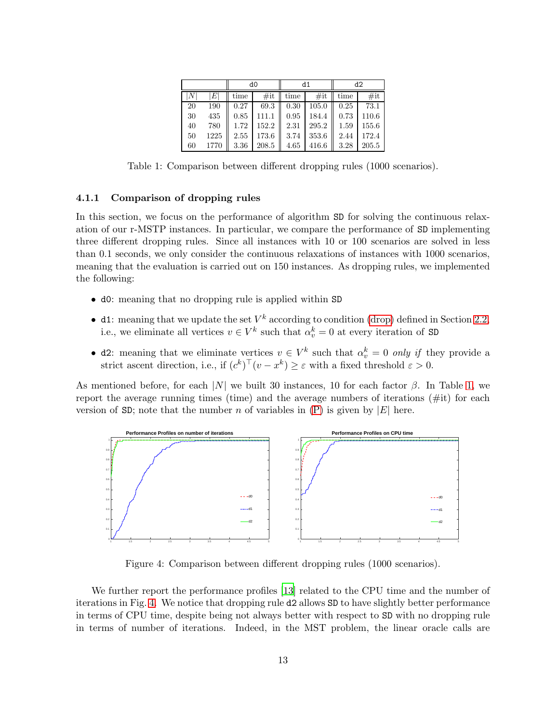<span id="page-12-0"></span>

|    |           |      | d0    |      | d1    | d2   |       |
|----|-----------|------|-------|------|-------|------|-------|
| N  | $\,$ $E $ | time | #it   | time | #it   | time | #it   |
| 20 | 190       | 0.27 | 69.3  | 0.30 | 105.0 | 0.25 | 73.1  |
| 30 | 435       | 0.85 | 111.1 | 0.95 | 184.4 | 0.73 | 110.6 |
| 40 | 780       | 1.72 | 152.2 | 2.31 | 295.2 | 1.59 | 155.6 |
| 50 | 1225      | 2.55 | 173.6 | 3.74 | 353.6 | 2.44 | 172.4 |
| 60 | 1770      | 3.36 | 208.5 | 4.65 | 416.6 | 3.28 | 205.5 |

Table 1: Comparison between different dropping rules (1000 scenarios).

#### 4.1.1 Comparison of dropping rules

In this section, we focus on the performance of algorithm SD for solving the continuous relaxation of our r-MSTP instances. In particular, we compare the performance of SD implementing three different dropping rules. Since all instances with 10 or 100 scenarios are solved in less than 0.1 seconds, we only consider the continuous relaxations of instances with 1000 scenarios, meaning that the evaluation is carried out on 150 instances. As dropping rules, we implemented the following:

- d0: meaning that no dropping rule is applied within SD
- d1: meaning that we update the set  $V^k$  according to condition [\(drop\)](#page-7-2) defined in Section [2.2,](#page-7-0) i.e., we eliminate all vertices  $v \in V^k$  such that  $\alpha_v^k = 0$  at every iteration of SD
- d2: meaning that we eliminate vertices  $v \in V^k$  such that  $\alpha_v^k = 0$  only if they provide a strict ascent direction, i.e., if  $(c^k)^\top (v - x^k) \geq \varepsilon$  with a fixed threshold  $\varepsilon > 0$ .

As mentioned before, for each  $|N|$  we built 30 instances, 10 for each factor  $\beta$ . In Table [1,](#page-12-0) we report the average running times (time) and the average numbers of iterations  $(\#it)$  for each version of SD; note that the number n of variables in  $(P)$  is given by  $|E|$  here.

<span id="page-12-1"></span>

Figure 4: Comparison between different dropping rules (1000 scenarios).

We further report the performance profiles [\[13](#page-20-14)] related to the CPU time and the number of iterations in Fig. [4.](#page-12-1) We notice that dropping rule d2 allows SD to have slightly better performance in terms of CPU time, despite being not always better with respect to SD with no dropping rule in terms of number of iterations. Indeed, in the MST problem, the linear oracle calls are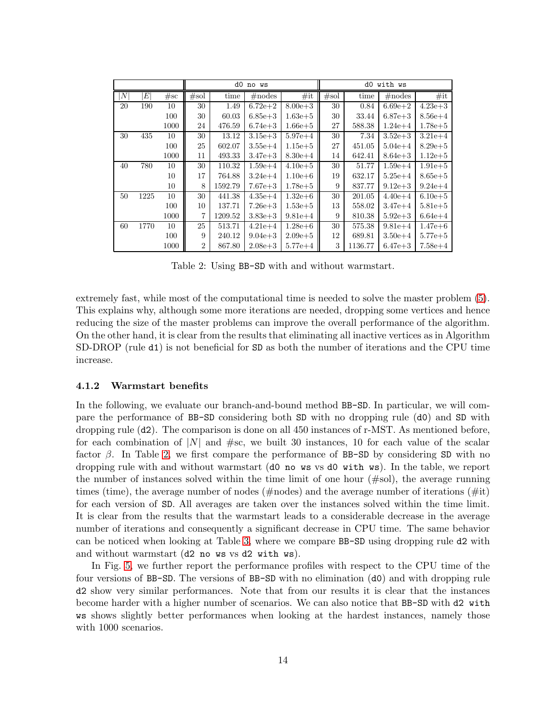<span id="page-13-0"></span>

|           |      |      | d0 no ws       |         |             |             |      | d0<br>with ws |             |             |  |  |
|-----------|------|------|----------------|---------|-------------|-------------|------|---------------|-------------|-------------|--|--|
| $N \vert$ | E    | #sc  | #sol           | time    | $\#$ nodes  | #it         | #sol | time          | $\#nodes$   | #it         |  |  |
| 20        | 190  | 10   | 30             | 1.49    | $6.72e + 2$ | $8.00e + 3$ | 30   | 0.84          | $6.69e + 2$ | $4.23e + 3$ |  |  |
|           |      | 100  | 30             | 60.03   | $6.85e + 3$ | $1.63e+5$   | 30   | 33.44         | $6.87e + 3$ | $8.56e + 4$ |  |  |
|           |      | 1000 | 24             | 476.59  | $6.74e + 3$ | $1.66e + 5$ | 27   | 588.38        | $1.24e+4$   | $1.78e + 5$ |  |  |
| 30        | 435  | 10   | 30             | 13.12   | $3.15e + 3$ | $5.97e + 4$ | 30   | 7.34          | $3.52e + 3$ | $3.21e + 4$ |  |  |
|           |      | 100  | 25             | 602.07  | $3.55e+4$   | $1.15e + 5$ | 27   | 451.05        | $5.04e + 4$ | $8.29e + 5$ |  |  |
|           |      | 1000 | 11             | 493.33  | $3.47e + 3$ | $8.30e + 4$ | 14   | 642.41        | $8.64e + 3$ | $1.12e + 5$ |  |  |
| 40        | 780  | 10   | 30             | 110.32  | $1.59e + 4$ | $4.10e + 5$ | 30   | 51.77         | $1.59e + 4$ | $1.91e + 5$ |  |  |
|           |      | 10   | 17             | 764.88  | $3.24e + 4$ | $1.10e + 6$ | 19   | 632.17        | $5.25e + 4$ | $8.65e + 5$ |  |  |
|           |      | 10   | 8              | 1592.79 | $7.67e + 3$ | $1.78e + 5$ | 9    | 837.77        | $9.12e + 3$ | $9.24e + 4$ |  |  |
| 50        | 1225 | 10   | 30             | 441.38  | $4.35e+4$   | $1.32e+6$   | 30   | 201.05        | $4.40e + 4$ | $6.10e + 5$ |  |  |
|           |      | 100  | 10             | 137.71  | $7.26e + 3$ | $1.53e+5$   | 13   | 558.02        | $3.47e + 4$ | $5.81e + 5$ |  |  |
|           |      | 1000 | 7              | 1209.52 | $3.83e + 3$ | $9.81e+4$   | 9    | 810.38        | $5.92e + 3$ | $6.64e + 4$ |  |  |
| 60        | 1770 | 10   | 25             | 513.71  | $4.21e+4$   | $1.28e + 6$ | 30   | 575.38        | $9.81e+4$   | $1.47e + 6$ |  |  |
|           |      | 100  | 9              | 240.12  | $9.04e + 3$ | $2.09e + 5$ | 12   | 689.81        | $3.50e + 4$ | $5.77e + 5$ |  |  |
|           |      | 1000 | $\overline{2}$ | 867.80  | $2.08e + 3$ | $5.77e + 4$ | 3    | 1136.77       | $6.47e + 3$ | $7.58e + 4$ |  |  |

Table 2: Using BB-SD with and without warmstart.

extremely fast, while most of the computational time is needed to solve the master problem [\(5\)](#page-11-1). This explains why, although some more iterations are needed, dropping some vertices and hence reducing the size of the master problems can improve the overall performance of the algorithm. On the other hand, it is clear from the results that eliminating all inactive vertices as in Algorithm SD-DROP (rule d1) is not beneficial for SD as both the number of iterations and the CPU time increase.

### 4.1.2 Warmstart benefits

In the following, we evaluate our branch-and-bound method BB-SD. In particular, we will compare the performance of BB-SD considering both SD with no dropping rule (d0) and SD with dropping rule (d2). The comparison is done on all 450 instances of r-MST. As mentioned before, for each combination of  $|N|$  and  $\#sc$ , we built 30 instances, 10 for each value of the scalar factor  $\beta$ . In Table [2,](#page-13-0) we first compare the performance of BB-SD by considering SD with no dropping rule with and without warmstart (d0 no ws vs d0 with ws). In the table, we report the number of instances solved within the time limit of one hour (#sol), the average running times (time), the average number of nodes (#nodes) and the average number of iterations (#it) for each version of SD. All averages are taken over the instances solved within the time limit. It is clear from the results that the warmstart leads to a considerable decrease in the average number of iterations and consequently a significant decrease in CPU time. The same behavior can be noticed when looking at Table [3,](#page-15-1) where we compare BB-SD using dropping rule d2 with and without warmstart (d2 no ws vs d2 with ws).

In Fig. [5,](#page-14-0) we further report the performance profiles with respect to the CPU time of the four versions of BB-SD. The versions of BB-SD with no elimination (d0) and with dropping rule d2 show very similar performances. Note that from our results it is clear that the instances become harder with a higher number of scenarios. We can also notice that BB-SD with d2 with ws shows slightly better performances when looking at the hardest instances, namely those with 1000 scenarios.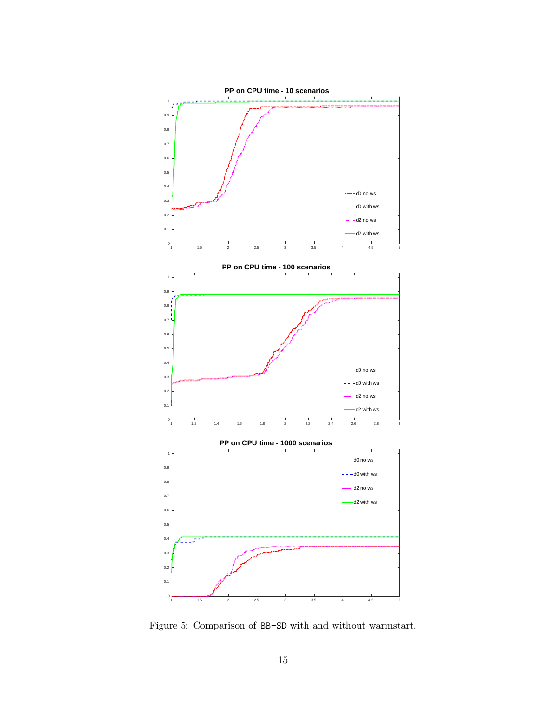<span id="page-14-0"></span>

Figure 5: Comparison of BB-SD with and without warmstart.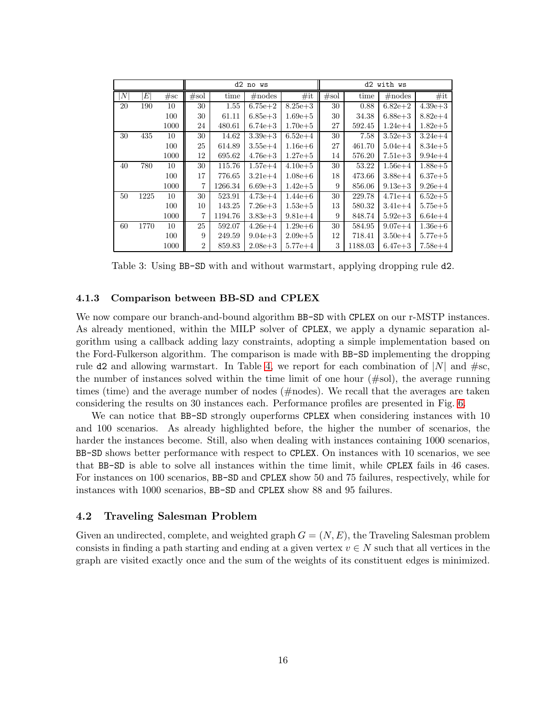<span id="page-15-1"></span>

|                           |      |      |                |         | d2 no ws    |             | d2<br>with ws |         |             |             |  |
|---------------------------|------|------|----------------|---------|-------------|-------------|---------------|---------|-------------|-------------|--|
| $\left\vert N\right\vert$ | E    | #sc  | #sol           | time    | $\#$ nodes  | #it         | #sol          | time    | $\#nodes$   | #it         |  |
| 20                        | 190  | 10   | 30             | 1.55    | $6.75e + 2$ | $8.25e + 3$ | 30            | 0.88    | $6.82e + 2$ | $4.39e + 3$ |  |
|                           |      | 100  | 30             | 61.11   | $6.85e + 3$ | $1.69e + 5$ | 30            | 34.38   | $6.88e + 3$ | $8.82e+4$   |  |
|                           |      | 1000 | 24             | 480.61  | $6.74e + 3$ | $1.70e + 5$ | 27            | 592.45  | $1.24e + 4$ | $1.82e + 5$ |  |
| 30                        | 435  | 10   | 30             | 14.62   | $3.39e + 3$ | $6.52e+4$   | 30            | 7.58    | $3.52e + 3$ | $3.24e + 4$ |  |
|                           |      | 100  | 25             | 614.89  | $3.55e + 4$ | $1.16e + 6$ | 27            | 461.70  | $5.04e + 4$ | $8.34e + 5$ |  |
|                           |      | 1000 | 12             | 695.62  | $4.76e + 3$ | $1.27e + 5$ | 14            | 576.20  | $7.51e + 3$ | $9.94e + 4$ |  |
| 40                        | 780  | 10   | 30             | 115.76  | $1.57e + 4$ | $4.10e + 5$ | 30            | 53.22   | $1.56e + 4$ | $1.88e + 5$ |  |
|                           |      | 100  | 17             | 776.65  | $3.21e+4$   | $1.08e + 6$ | 18            | 473.66  | $3.88e + 4$ | $6.37e + 5$ |  |
|                           |      | 1000 | $\overline{7}$ | 1266.34 | $6.69e + 3$ | $1.42e + 5$ | 9             | 856.06  | $9.13e + 3$ | $9.26e + 4$ |  |
| 50                        | 1225 | 10   | 30             | 523.91  | $4.73e+4$   | $1.44e + 6$ | 30            | 229.78  | $4.71e+4$   | $6.52e + 5$ |  |
|                           |      | 100  | 10             | 143.25  | $7.26e + 3$ | $1.53e + 5$ | 13            | 580.32  | $3.41e + 4$ | $5.75e + 5$ |  |
|                           |      | 1000 | $\overline{7}$ | 1194.76 | $3.83e + 3$ | $9.81e+4$   | 9             | 848.74  | $5.92e + 3$ | $6.64e + 4$ |  |
| 60                        | 1770 | 10   | 25             | 592.07  | $4.26e + 4$ | $1.29e + 6$ | 30            | 584.95  | $9.07e + 4$ | $1.36e + 6$ |  |
|                           |      | 100  | 9              | 249.59  | $9.04e + 3$ | $2.09e + 5$ | 12            | 718.41  | $3.50e + 4$ | $5.77e + 5$ |  |
|                           |      | 1000 | $\overline{2}$ | 859.83  | $2.08e + 3$ | $5.77e + 4$ | 3             | 1188.03 | $6.47e + 3$ | $7.58e + 4$ |  |

Table 3: Using BB-SD with and without warmstart, applying dropping rule d2.

#### 4.1.3 Comparison between BB-SD and CPLEX

We now compare our branch-and-bound algorithm BB-SD with CPLEX on our r-MSTP instances. As already mentioned, within the MILP solver of CPLEX, we apply a dynamic separation algorithm using a callback adding lazy constraints, adopting a simple implementation based on the Ford-Fulkerson algorithm. The comparison is made with BB-SD implementing the dropping rule d2 and allowing warmstart. In Table [4,](#page-17-0) we report for each combination of  $|N|$  and  $\#sc$ , the number of instances solved within the time limit of one hour  $(\text{\#sol})$ , the average running times (time) and the average number of nodes (#nodes). We recall that the averages are taken considering the results on 30 instances each. Performance profiles are presented in Fig. [6.](#page-16-0)

We can notice that BB-SD strongly ouperforms CPLEX when considering instances with 10 and 100 scenarios. As already highlighted before, the higher the number of scenarios, the harder the instances become. Still, also when dealing with instances containing 1000 scenarios, BB-SD shows better performance with respect to CPLEX. On instances with 10 scenarios, we see that BB-SD is able to solve all instances within the time limit, while CPLEX fails in 46 cases. For instances on 100 scenarios, BB-SD and CPLEX show 50 and 75 failures, respectively, while for instances with 1000 scenarios, BB-SD and CPLEX show 88 and 95 failures.

### <span id="page-15-0"></span>4.2 Traveling Salesman Problem

Given an undirected, complete, and weighted graph  $G = (N, E)$ , the Traveling Salesman problem consists in finding a path starting and ending at a given vertex  $v \in N$  such that all vertices in the graph are visited exactly once and the sum of the weights of its constituent edges is minimized.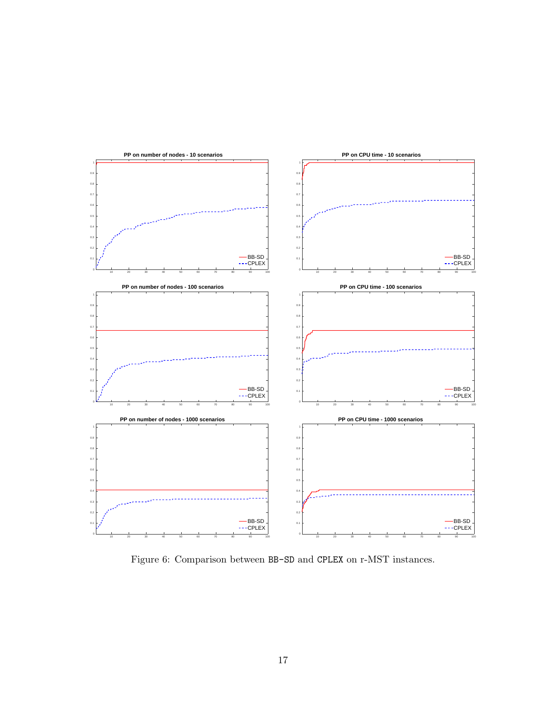<span id="page-16-0"></span>

Figure 6: Comparison between BB-SD and CPLEX on r-MST instances.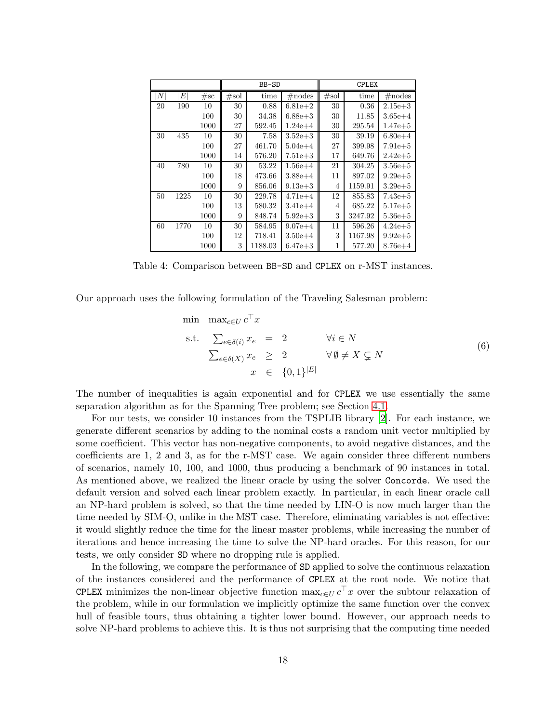<span id="page-17-0"></span>

|                  |      |      |      | BB-SD   |             | <b>CPLEX</b> |         |             |
|------------------|------|------|------|---------|-------------|--------------|---------|-------------|
| $\boldsymbol{N}$ | E    | #sc  | #sol | time    | $\#nodes$   | #sol         | time    | $\#$ nodes  |
| 20               | 190  | 10   | 30   | 0.88    | $6.81e + 2$ | 30           | 0.36    | $2.15e + 3$ |
|                  |      | 100  | 30   | 34.38   | $6.88e + 3$ | 30           | 11.85   | $3.65e + 4$ |
|                  |      | 1000 | 27   | 592.45  | $1.24e + 4$ | 30           | 295.54  | $1.47e + 5$ |
| 30               | 435  | 10   | 30   | 7.58    | $3.52e + 3$ | 30           | 39.19   | $6.80e + 4$ |
|                  |      | 100  | 27   | 461.70  | $5.04e + 4$ | 27           | 399.98  | $7.91e + 5$ |
|                  |      | 1000 | 14   | 576.20  | $7.51e + 3$ | 17           | 649.76  | $2.42e + 5$ |
| 40               | 780  | 10   | 30   | 53.22   | $1.56e + 4$ | 21           | 304.25  | $3.56e + 5$ |
|                  |      | 100  | 18   | 473.66  | $3.88e + 4$ | 11           | 897.02  | $9.29e + 5$ |
|                  |      | 1000 | 9    | 856.06  | $9.13e + 3$ | 4            | 1159.91 | $3.29e + 5$ |
| 50               | 1225 | 10   | 30   | 229.78  | $4.71e+4$   | 12           | 855.83  | $7.43e + 5$ |
|                  |      | 100  | 13   | 580.32  | $3.41e + 4$ | 4            | 685.22  | $5.17e + 5$ |
|                  |      | 1000 | 9    | 848.74  | $5.92e + 3$ | 3            | 3247.92 | $5.36e + 5$ |
| 60               | 1770 | 10   | 30   | 584.95  | $9.07e + 4$ | 11           | 596.26  | $4.24e + 5$ |
|                  |      | 100  | 12   | 718.41  | $3.50e + 4$ | 3            | 1167.98 | $9.92e + 5$ |
|                  |      | 1000 | 3    | 1188.03 | $6.47e + 3$ |              | 577.20  | $8.76e + 4$ |

Table 4: Comparison between BB-SD and CPLEX on r-MST instances.

Our approach uses the following formulation of the Traveling Salesman problem:

$$
\begin{array}{ll}\n\min & \max_{c \in U} c^{\top} x \\
\text{s.t.} & \sum_{e \in \delta(i)} x_e = 2 \qquad \forall i \in N \\
& \sum_{e \in \delta(X)} x_e \ge 2 \qquad \forall \emptyset \ne X \subsetneq N \\
& x \in \{0, 1\}^{|E|}\n\end{array} \tag{6}
$$

The number of inequalities is again exponential and for CPLEX we use essentially the same separation algorithm as for the Spanning Tree problem; see Section [4.1.](#page-11-0)

For our tests, we consider 10 instances from the TSPLIB library [\[2](#page-19-9)]. For each instance, we generate different scenarios by adding to the nominal costs a random unit vector multiplied by some coefficient. This vector has non-negative components, to avoid negative distances, and the coefficients are 1, 2 and 3, as for the r-MST case. We again consider three different numbers of scenarios, namely 10, 100, and 1000, thus producing a benchmark of 90 instances in total. As mentioned above, we realized the linear oracle by using the solver Concorde. We used the default version and solved each linear problem exactly. In particular, in each linear oracle call an NP-hard problem is solved, so that the time needed by LIN-O is now much larger than the time needed by SIM-O, unlike in the MST case. Therefore, eliminating variables is not effective: it would slightly reduce the time for the linear master problems, while increasing the number of iterations and hence increasing the time to solve the NP-hard oracles. For this reason, for our tests, we only consider SD where no dropping rule is applied.

In the following, we compare the performance of SD applied to solve the continuous relaxation of the instances considered and the performance of CPLEX at the root node. We notice that CPLEX minimizes the non-linear objective function  $\max_{c \in U} c^T x$  over the subtour relaxation of the problem, while in our formulation we implicitly optimize the same function over the convex hull of feasible tours, thus obtaining a tighter lower bound. However, our approach needs to solve NP-hard problems to achieve this. It is thus not surprising that the computing time needed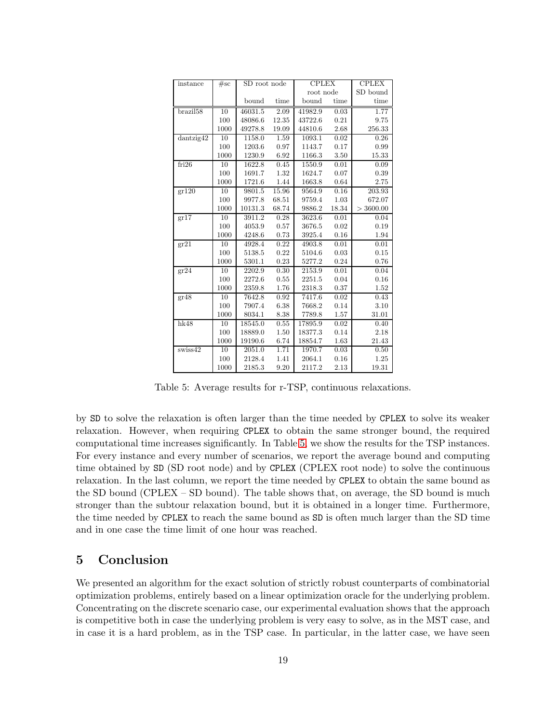<span id="page-18-1"></span>

| instance                         | #sc  | SD root node |       | <b>CPLEX</b> |       | <b>CPLEX</b> |
|----------------------------------|------|--------------|-------|--------------|-------|--------------|
|                                  |      |              |       | root node    |       | SD bound     |
|                                  |      | bound        | time  | bound        | time  | time         |
| brazil <sup>58</sup>             | 10   | 46031.5      | 2.09  | 41982.9      | 0.03  | 1.77         |
|                                  | 100  | 48086.6      | 12.35 | 43722.6      | 0.21  | 9.75         |
|                                  | 1000 | 49278.8      | 19.09 | 44810.6      | 2.68  | 256.33       |
| dantzig42                        | 10   | 1158.0       | 1.59  | 1093.1       | 0.02  | 0.26         |
|                                  | 100  | 1203.6       | 0.97  | 1143.7       | 0.17  | 0.99         |
|                                  | 1000 | 1230.9       | 6.92  | 1166.3       | 3.50  | 15.33        |
| fri26                            | 10   | 1622.8       | 0.45  | 1550.9       | 0.01  | 0.09         |
|                                  | 100  | 1691.7       | 1.32  | 1624.7       | 0.07  | 0.39         |
|                                  | 1000 | 1721.6       | 1.44  | 1663.8       | 0.64  | 2.75         |
| gr120                            | 10   | 9801.5       | 15.96 | 9564.9       | 0.16  | 203.93       |
|                                  | 100  | 9977.8       | 68.51 | 9759.4       | 1.03  | 672.07       |
|                                  | 1000 | 10131.3      | 68.74 | 9886.2       | 18.34 | > 3600.00    |
| gr17                             | 10   | 3911.2       | 0.28  | 3623.6       | 0.01  | 0.04         |
|                                  | 100  | 4053.9       | 0.57  | 3676.5       | 0.02  | 0.19         |
|                                  | 1000 | 4248.6       | 0.73  | 3925.4       | 0.16  | 1.94         |
| $gr2\overline{1}$                | 10   | 4928.4       | 0.22  | 4903.8       | 0.01  | 0.01         |
|                                  | 100  | 5138.5       | 0.22  | 5104.6       | 0.03  | 0.15         |
|                                  | 1000 | 5301.1       | 0.23  | 5277.2       | 0.24  | 0.76         |
| $gr\overline{24}$                | 10   | 2202.9       | 0.30  | 2153.9       | 0.01  | 0.04         |
|                                  | 100  | 2272.6       | 0.55  | 2251.5       | 0.04  | 0.16         |
|                                  | 1000 | 2359.8       | 1.76  | 2318.3       | 0.37  | 1.52         |
| gr48                             | 10   | 7642.8       | 0.92  | 7417.6       | 0.02  | 0.43         |
|                                  | 100  | 7907.4       | 6.38  | 7668.2       | 0.14  | 3.10         |
|                                  | 1000 | 8034.1       | 8.38  | 7789.8       | 1.57  | 31.01        |
| hk48                             | 10   | 18545.0      | 0.55  | 17895.9      | 0.02  | 0.40         |
|                                  | 100  | 18889.0      | 1.50  | 18377.3      | 0.14  | 2.18         |
|                                  | 1000 | 19190.6      | 6.74  | 18854.7      | 1.63  | 21.43        |
| $s \overline{w} \overline{s} 42$ | 10   | 2051.0       | 1.71  | 1970.7       | 0.03  | 0.50         |
|                                  | 100  | 2128.4       | 1.41  | 2064.1       | 0.16  | 1.25         |
|                                  | 1000 | 2185.3       | 9.20  | 2117.2       | 2.13  | 19.31        |

Table 5: Average results for r-TSP, continuous relaxations.

by SD to solve the relaxation is often larger than the time needed by CPLEX to solve its weaker relaxation. However, when requiring CPLEX to obtain the same stronger bound, the required computational time increases significantly. In Table [5,](#page-18-1) we show the results for the TSP instances. For every instance and every number of scenarios, we report the average bound and computing time obtained by SD (SD root node) and by CPLEX (CPLEX root node) to solve the continuous relaxation. In the last column, we report the time needed by CPLEX to obtain the same bound as the SD bound (CPLEX – SD bound). The table shows that, on average, the SD bound is much stronger than the subtour relaxation bound, but it is obtained in a longer time. Furthermore, the time needed by CPLEX to reach the same bound as SD is often much larger than the SD time and in one case the time limit of one hour was reached.

### <span id="page-18-0"></span>5 Conclusion

We presented an algorithm for the exact solution of strictly robust counterparts of combinatorial optimization problems, entirely based on a linear optimization oracle for the underlying problem. Concentrating on the discrete scenario case, our experimental evaluation shows that the approach is competitive both in case the underlying problem is very easy to solve, as in the MST case, and in case it is a hard problem, as in the TSP case. In particular, in the latter case, we have seen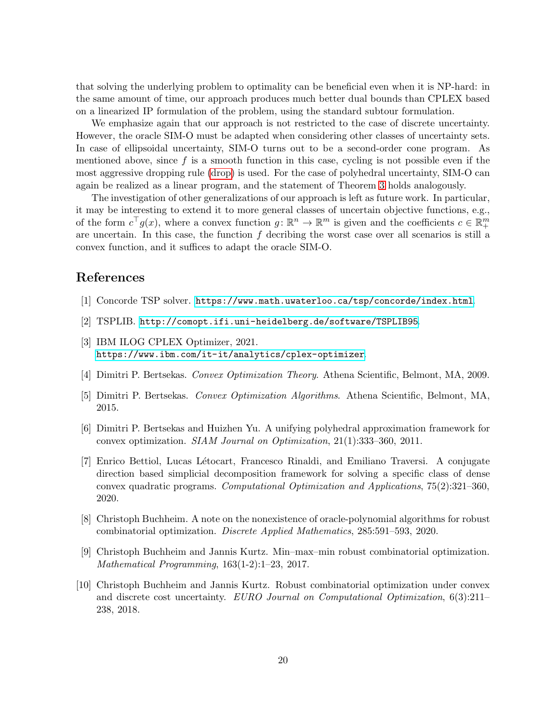that solving the underlying problem to optimality can be beneficial even when it is NP-hard: in the same amount of time, our approach produces much better dual bounds than CPLEX based on a linearized IP formulation of the problem, using the standard subtour formulation.

We emphasize again that our approach is not restricted to the case of discrete uncertainty. However, the oracle SIM-O must be adapted when considering other classes of uncertainty sets. In case of ellipsoidal uncertainty, SIM-O turns out to be a second-order cone program. As mentioned above, since  $f$  is a smooth function in this case, cycling is not possible even if the most aggressive dropping rule [\(drop\)](#page-7-2) is used. For the case of polyhedral uncertainty, SIM-O can again be realized as a linear program, and the statement of Theorem [3](#page-9-0) holds analogously.

The investigation of other generalizations of our approach is left as future work. In particular, it may be interesting to extend it to more general classes of uncertain objective functions, e.g., of the form  $c^{\top}g(x)$ , where a convex function  $g: \mathbb{R}^n \to \mathbb{R}^m$  is given and the coefficients  $c \in \mathbb{R}^m_+$ are uncertain. In this case, the function  $f$  decribing the worst case over all scenarios is still a convex function, and it suffices to adapt the oracle SIM-O.

### References

- <span id="page-19-8"></span>[1] Concorde TSP solver. <https://www.math.uwaterloo.ca/tsp/concorde/index.html>.
- <span id="page-19-9"></span>[2] TSPLIB. <http://comopt.ifi.uni-heidelberg.de/software/TSPLIB95>.
- <span id="page-19-7"></span>[3] IBM ILOG CPLEX Optimizer, 2021. <https://www.ibm.com/it-it/analytics/cplex-optimizer>.
- <span id="page-19-6"></span>[4] Dimitri P. Bertsekas. Convex Optimization Theory. Athena Scientific, Belmont, MA, 2009.
- <span id="page-19-2"></span>[5] Dimitri P. Bertsekas. Convex Optimization Algorithms. Athena Scientific, Belmont, MA, 2015.
- <span id="page-19-3"></span>[6] Dimitri P. Bertsekas and Huizhen Yu. A unifying polyhedral approximation framework for convex optimization. SIAM Journal on Optimization, 21(1):333–360, 2011.
- <span id="page-19-4"></span>[7] Enrico Bettiol, Lucas L´etocart, Francesco Rinaldi, and Emiliano Traversi. A conjugate direction based simplicial decomposition framework for solving a specific class of dense convex quadratic programs. Computational Optimization and Applications, 75(2):321–360, 2020.
- <span id="page-19-1"></span>[8] Christoph Buchheim. A note on the nonexistence of oracle-polynomial algorithms for robust combinatorial optimization. Discrete Applied Mathematics, 285:591–593, 2020.
- <span id="page-19-5"></span>[9] Christoph Buchheim and Jannis Kurtz. Min–max–min robust combinatorial optimization. Mathematical Programming, 163(1-2):1–23, 2017.
- <span id="page-19-0"></span>[10] Christoph Buchheim and Jannis Kurtz. Robust combinatorial optimization under convex and discrete cost uncertainty. EURO Journal on Computational Optimization, 6(3):211– 238, 2018.